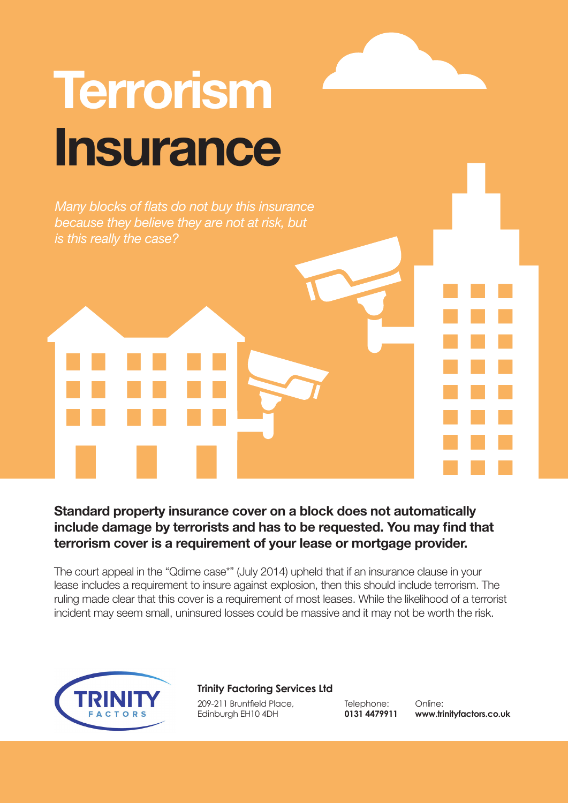# **Terrorism Insurance**

*Many blocks of flats do not buy this insurance because they believe they are not at risk, but is this really the case?*

**Standard property insurance cover on a block does not automatically include damage by terrorists and has to be requested. You may find that terrorism cover is a requirement of your lease or mortgage provider.** 

The court appeal in the "Qdime case\*" (July 2014) upheld that if an insurance clause in your lease includes a requirement to insure against explosion, then this should include terrorism. The ruling made clear that this cover is a requirement of most leases. While the likelihood of a terrorist incident may seem small, uninsured losses could be massive and it may not be worth the risk.



### **Trinity Factoring Services Ltd**

209-211 Bruntfield Place, Edinburgh EH10 4DH

Telephone: **0131 4479911**

Online: **www.trinityfactors.co.uk**